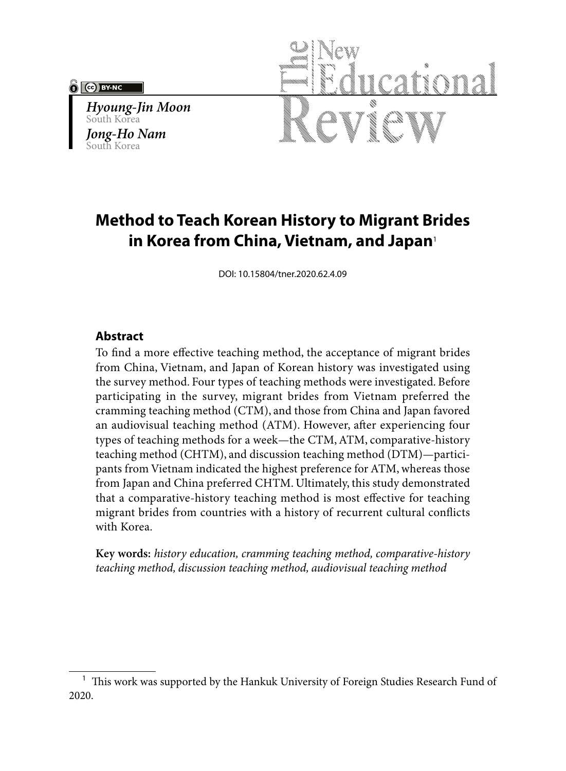#### (cc) BY-NO

*Hyoung-Jin Moon* South Korea *Jong-Ho Nam* South Korea



# **Method to Teach Korean History to Migrant Brides in Korea from China, Vietnam, and Japan**<sup>1</sup>

DOI: 10.15804/tner.2020.62.4.09

## **Abstract**

To find a more effective teaching method, the acceptance of migrant brides from China, Vietnam, and Japan of Korean history was investigated using the survey method. Four types of teaching methods were investigated. Before participating in the survey, migrant brides from Vietnam preferred the cramming teaching method (CTM), and those from China and Japan favored an audiovisual teaching method (ATM). However, after experiencing four types of teaching methods for a week—the CTM, ATM, comparative-history teaching method (CHTM), and discussion teaching method (DTM)—participants from Vietnam indicated the highest preference for ATM, whereas those from Japan and China preferred CHTM. Ultimately, this study demonstrated that a comparative-history teaching method is most effective for teaching migrant brides from countries with a history of recurrent cultural conflicts with Korea.

**Key words:** *history education, cramming teaching method, comparative-history teaching method, discussion teaching method, audiovisual teaching method*

 $1$  This work was supported by the Hankuk University of Foreign Studies Research Fund of 2020.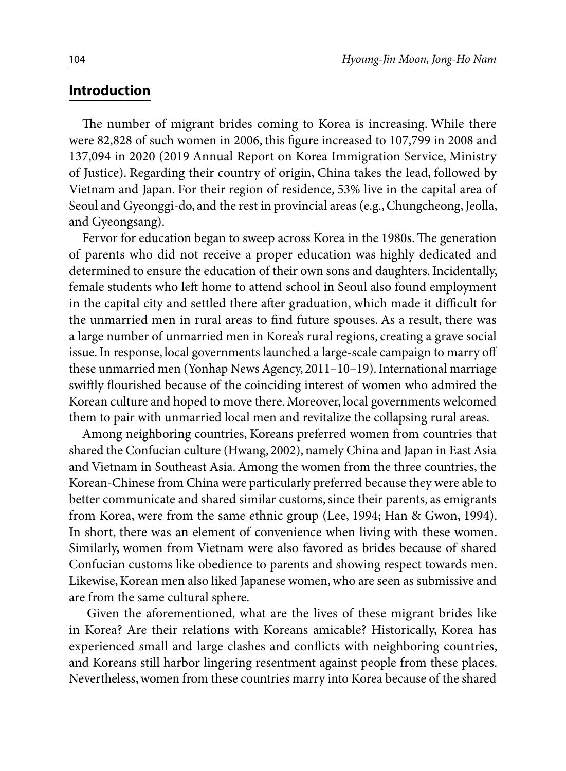#### **Introduction**

The number of migrant brides coming to Korea is increasing. While there were 82,828 of such women in 2006, this figure increased to 107,799 in 2008 and 137,094 in 2020 (2019 Annual Report on Korea Immigration Service, Ministry of Justice). Regarding their country of origin, China takes the lead, followed by Vietnam and Japan. For their region of residence, 53% live in the capital area of Seoul and Gyeonggi-do, and the rest in provincial areas (e.g., Chungcheong, Jeolla, and Gyeongsang).

Fervor for education began to sweep across Korea in the 1980s. The generation of parents who did not receive a proper education was highly dedicated and determined to ensure the education of their own sons and daughters. Incidentally, female students who left home to attend school in Seoul also found employment in the capital city and settled there after graduation, which made it difficult for the unmarried men in rural areas to find future spouses. As a result, there was a large number of unmarried men in Korea's rural regions, creating a grave social issue. In response, local governments launched a large-scale campaign to marry off these unmarried men (Yonhap News Agency, 2011–10–19). International marriage swiftly flourished because of the coinciding interest of women who admired the Korean culture and hoped to move there. Moreover, local governments welcomed them to pair with unmarried local men and revitalize the collapsing rural areas.

Among neighboring countries, Koreans preferred women from countries that shared the Confucian culture (Hwang, 2002), namely China and Japan in East Asia and Vietnam in Southeast Asia. Among the women from the three countries, the Korean-Chinese from China were particularly preferred because they were able to better communicate and shared similar customs, since their parents, as emigrants from Korea, were from the same ethnic group (Lee, 1994; Han & Gwon, 1994). In short, there was an element of convenience when living with these women. Similarly, women from Vietnam were also favored as brides because of shared Confucian customs like obedience to parents and showing respect towards men. Likewise, Korean men also liked Japanese women, who are seen as submissive and are from the same cultural sphere.

 Given the aforementioned, what are the lives of these migrant brides like in Korea? Are their relations with Koreans amicable? Historically, Korea has experienced small and large clashes and conflicts with neighboring countries, and Koreans still harbor lingering resentment against people from these places. Nevertheless, women from these countries marry into Korea because of the shared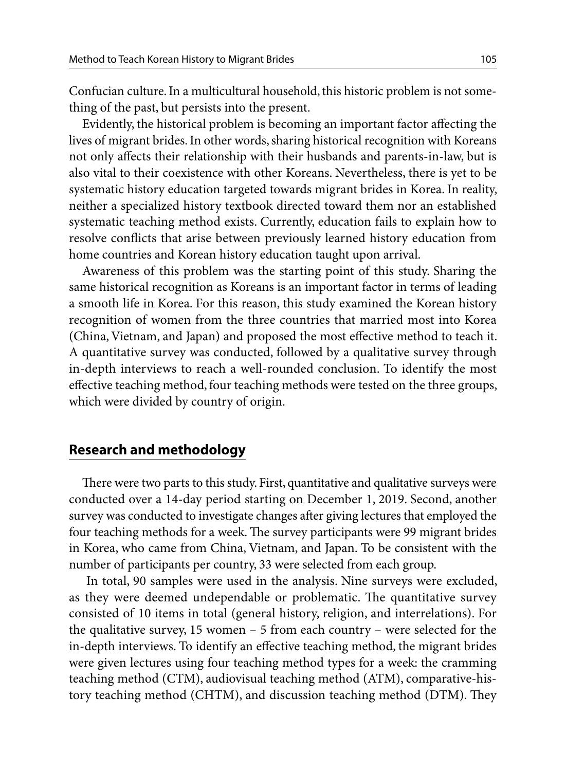Confucian culture. In a multicultural household, this historic problem is not something of the past, but persists into the present.

Evidently, the historical problem is becoming an important factor affecting the lives of migrant brides. In other words, sharing historical recognition with Koreans not only affects their relationship with their husbands and parents-in-law, but is also vital to their coexistence with other Koreans. Nevertheless, there is yet to be systematic history education targeted towards migrant brides in Korea. In reality, neither a specialized history textbook directed toward them nor an established systematic teaching method exists. Currently, education fails to explain how to resolve conflicts that arise between previously learned history education from home countries and Korean history education taught upon arrival.

Awareness of this problem was the starting point of this study. Sharing the same historical recognition as Koreans is an important factor in terms of leading a smooth life in Korea. For this reason, this study examined the Korean history recognition of women from the three countries that married most into Korea (China, Vietnam, and Japan) and proposed the most effective method to teach it. A quantitative survey was conducted, followed by a qualitative survey through in-depth interviews to reach a well-rounded conclusion. To identify the most effective teaching method, four teaching methods were tested on the three groups, which were divided by country of origin.

# **Research and methodology**

There were two parts to this study. First, quantitative and qualitative surveys were conducted over a 14-day period starting on December 1, 2019. Second, another survey was conducted to investigate changes after giving lectures that employed the four teaching methods for a week. The survey participants were 99 migrant brides in Korea, who came from China, Vietnam, and Japan. To be consistent with the number of participants per country, 33 were selected from each group.

 In total, 90 samples were used in the analysis. Nine surveys were excluded, as they were deemed undependable or problematic. The quantitative survey consisted of 10 items in total (general history, religion, and interrelations). For the qualitative survey, 15 women – 5 from each country – were selected for the in-depth interviews. To identify an effective teaching method, the migrant brides were given lectures using four teaching method types for a week: the cramming teaching method (CTM), audiovisual teaching method (ATM), comparative-history teaching method (CHTM), and discussion teaching method (DTM). They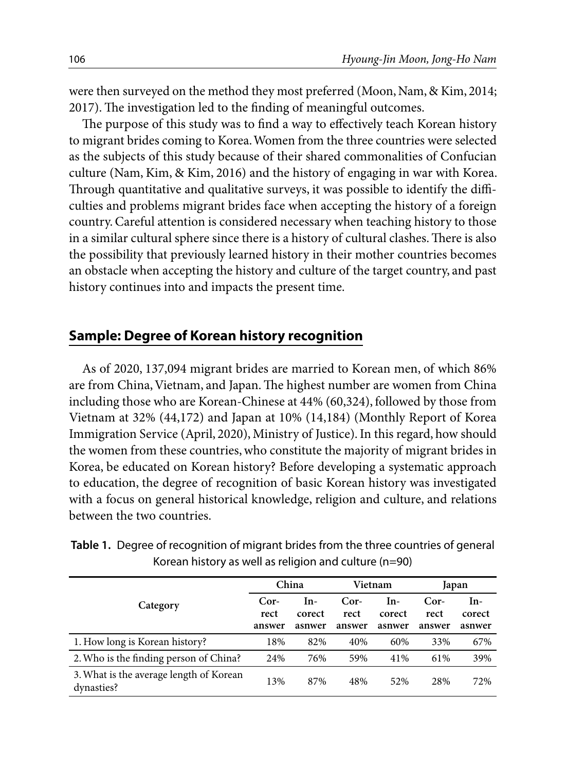were then surveyed on the method they most preferred (Moon, Nam, & Kim, 2014; 2017). The investigation led to the finding of meaningful outcomes.

The purpose of this study was to find a way to effectively teach Korean history to migrant brides coming to Korea. Women from the three countries were selected as the subjects of this study because of their shared commonalities of Confucian culture (Nam, Kim, & Kim, 2016) and the history of engaging in war with Korea. Through quantitative and qualitative surveys, it was possible to identify the difficulties and problems migrant brides face when accepting the history of a foreign country. Careful attention is considered necessary when teaching history to those in a similar cultural sphere since there is a history of cultural clashes. There is also the possibility that previously learned history in their mother countries becomes an obstacle when accepting the history and culture of the target country, and past history continues into and impacts the present time.

# **Sample: Degree of Korean history recognition**

As of 2020, 137,094 migrant brides are married to Korean men, of which 86% are from China, Vietnam, and Japan. The highest number are women from China including those who are Korean-Chinese at 44% (60,324), followed by those from Vietnam at 32% (44,172) and Japan at 10% (14,184) (Monthly Report of Korea Immigration Service (April, 2020), Ministry of Justice). In this regard, how should the women from these countries, who constitute the majority of migrant brides in Korea, be educated on Korean history? Before developing a systematic approach to education, the degree of recognition of basic Korean history was investigated with a focus on general historical knowledge, religion and culture, and relations between the two countries.

|                                                       | China                    |                         |                          | Vietnam                 | Japan                  |                         |
|-------------------------------------------------------|--------------------------|-------------------------|--------------------------|-------------------------|------------------------|-------------------------|
| Category                                              | $Cor-$<br>rect<br>answer | In-<br>corect<br>asnwer | $Cor-$<br>rect<br>answer | In-<br>corect<br>asnwer | Cor-<br>rect<br>answer | In-<br>corect<br>asnwer |
| 1. How long is Korean history?                        | 18%                      | 82%                     | 40%                      | 60%                     | 33%                    | 67%                     |
| 2. Who is the finding person of China?                | 24%                      | 76%                     | 59%                      | 41%                     | 61%                    | 39%                     |
| 3. What is the average length of Korean<br>dynasties? | 13%                      | 87%                     | 48%                      | 52%                     | 28%                    | 72%                     |

**Table 1.** Degree of recognition of migrant brides from the three countries of general Korean history as well as religion and culture (n=90)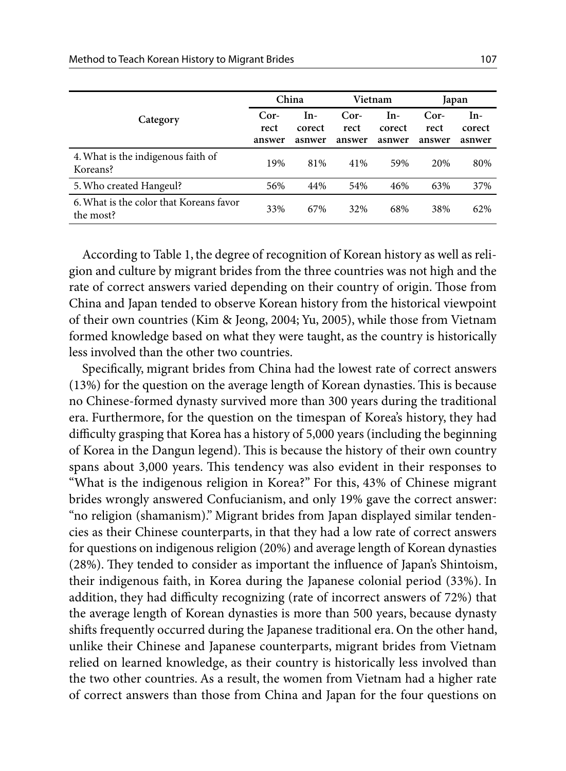|                                                      | China                  |                         | Vietnam                  |                           | Japan                  |                         |
|------------------------------------------------------|------------------------|-------------------------|--------------------------|---------------------------|------------------------|-------------------------|
| Category                                             | Cor-<br>rect<br>answer | In-<br>corect<br>asnwer | $Cor-$<br>rect<br>answer | $In-$<br>corect<br>asnwer | Cor-<br>rect<br>answer | In-<br>corect<br>asnwer |
| 4. What is the indigenous faith of<br>Koreans?       | 19%                    | 81%                     | 41%                      | 59%                       | 20%                    | 80%                     |
| 5. Who created Hangeul?                              | 56%                    | 44%                     | 54%                      | 46%                       | 63%                    | 37%                     |
| 6. What is the color that Koreans favor<br>the most? | 33%                    | 67%                     | 32%                      | 68%                       | 38%                    | 62%                     |

According to Table 1, the degree of recognition of Korean history as well as religion and culture by migrant brides from the three countries was not high and the rate of correct answers varied depending on their country of origin. Those from China and Japan tended to observe Korean history from the historical viewpoint of their own countries (Kim & Jeong, 2004; Yu, 2005), while those from Vietnam formed knowledge based on what they were taught, as the country is historically less involved than the other two countries.

Specifically, migrant brides from China had the lowest rate of correct answers (13%) for the question on the average length of Korean dynasties. This is because no Chinese-formed dynasty survived more than 300 years during the traditional era. Furthermore, for the question on the timespan of Korea's history, they had difficulty grasping that Korea has a history of 5,000 years (including the beginning of Korea in the Dangun legend). This is because the history of their own country spans about 3,000 years. This tendency was also evident in their responses to "What is the indigenous religion in Korea?" For this, 43% of Chinese migrant brides wrongly answered Confucianism, and only 19% gave the correct answer: "no religion (shamanism)." Migrant brides from Japan displayed similar tendencies as their Chinese counterparts, in that they had a low rate of correct answers for questions on indigenous religion (20%) and average length of Korean dynasties (28%). They tended to consider as important the influence of Japan's Shintoism, their indigenous faith, in Korea during the Japanese colonial period (33%). In addition, they had difficulty recognizing (rate of incorrect answers of 72%) that the average length of Korean dynasties is more than 500 years, because dynasty shifts frequently occurred during the Japanese traditional era. On the other hand, unlike their Chinese and Japanese counterparts, migrant brides from Vietnam relied on learned knowledge, as their country is historically less involved than the two other countries. As a result, the women from Vietnam had a higher rate of correct answers than those from China and Japan for the four questions on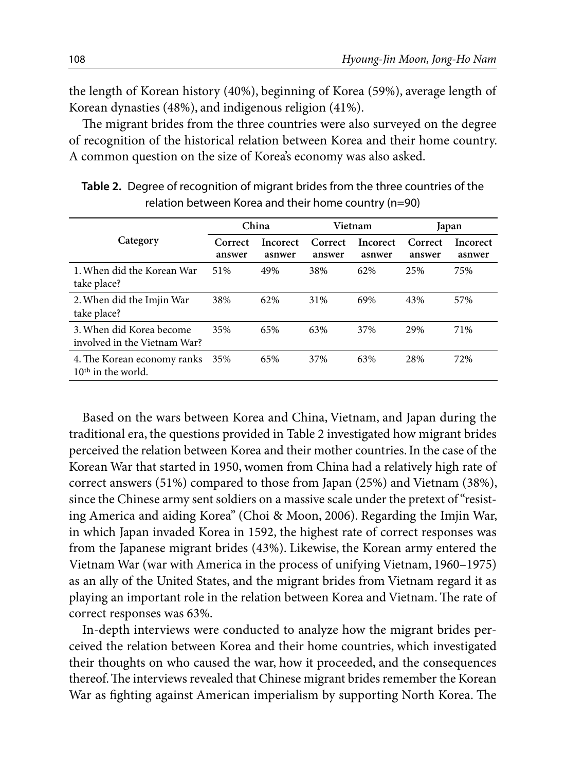the length of Korean history (40%), beginning of Korea (59%), average length of Korean dynasties (48%), and indigenous religion (41%).

The migrant brides from the three countries were also surveyed on the degree of recognition of the historical relation between Korea and their home country. A common question on the size of Korea's economy was also asked.

|                                                          |                   | China              |                   | Vietnam            | Japan             |                    |
|----------------------------------------------------------|-------------------|--------------------|-------------------|--------------------|-------------------|--------------------|
| Category                                                 | Correct<br>answer | Incorect<br>asnwer | Correct<br>answer | Incorect<br>asnwer | Correct<br>answer | Incorect<br>asnwer |
| 1. When did the Korean War<br>take place?                | 51%               | 49%                | 38%               | 62%                | 25%               | 75%                |
| 2. When did the Imjin War<br>take place?                 | 38%               | 62%                | 31%               | 69%                | 43%               | 57%                |
| 3. When did Korea become<br>involved in the Vietnam War? | 35%               | 65%                | 63%               | 37%                | 29%               | 71%                |
| 4. The Korean economy ranks<br>$10th$ in the world.      | 35%               | 65%                | 37%               | 63%                | 28%               | 72%                |

**Table 2.** Degree of recognition of migrant brides from the three countries of the relation between Korea and their home country (n=90)

Based on the wars between Korea and China, Vietnam, and Japan during the traditional era, the questions provided in Table 2 investigated how migrant brides perceived the relation between Korea and their mother countries. In the case of the Korean War that started in 1950, women from China had a relatively high rate of correct answers (51%) compared to those from Japan (25%) and Vietnam (38%), since the Chinese army sent soldiers on a massive scale under the pretext of "resisting America and aiding Korea" (Choi & Moon, 2006). Regarding the Imjin War, in which Japan invaded Korea in 1592, the highest rate of correct responses was from the Japanese migrant brides (43%). Likewise, the Korean army entered the Vietnam War (war with America in the process of unifying Vietnam, 1960–1975) as an ally of the United States, and the migrant brides from Vietnam regard it as playing an important role in the relation between Korea and Vietnam. The rate of correct responses was 63%.

In-depth interviews were conducted to analyze how the migrant brides perceived the relation between Korea and their home countries, which investigated their thoughts on who caused the war, how it proceeded, and the consequences thereof. The interviews revealed that Chinese migrant brides remember the Korean War as fighting against American imperialism by supporting North Korea. The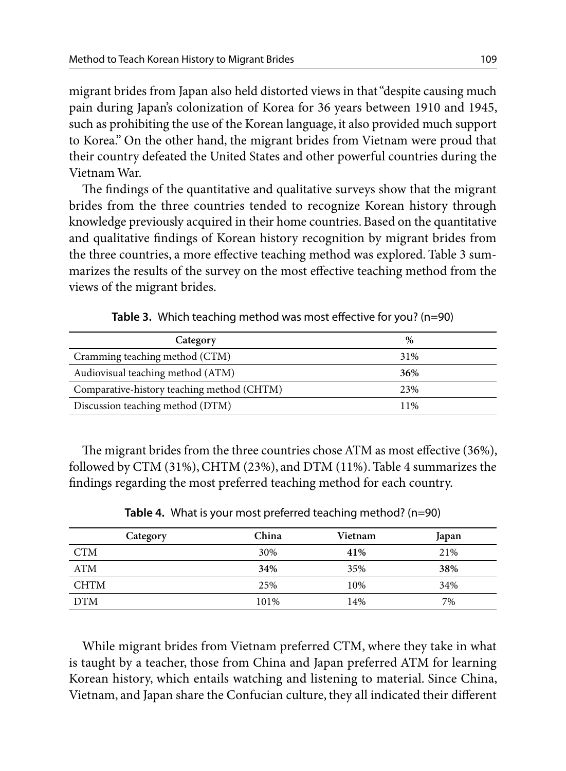migrant brides from Japan also held distorted views in that "despite causing much pain during Japan's colonization of Korea for 36 years between 1910 and 1945, such as prohibiting the use of the Korean language, it also provided much support to Korea." On the other hand, the migrant brides from Vietnam were proud that their country defeated the United States and other powerful countries during the Vietnam War.

The findings of the quantitative and qualitative surveys show that the migrant brides from the three countries tended to recognize Korean history through knowledge previously acquired in their home countries. Based on the quantitative and qualitative findings of Korean history recognition by migrant brides from the three countries, a more effective teaching method was explored. Table 3 summarizes the results of the survey on the most effective teaching method from the views of the migrant brides.

| Category                                   | $\%$ |
|--------------------------------------------|------|
| Cramming teaching method (CTM)             | 31%  |
| Audiovisual teaching method (ATM)          | 36%  |
| Comparative-history teaching method (CHTM) | 23%  |
| Discussion teaching method (DTM)           | 11%  |

**Table 3.** Which teaching method was most effective for you? (n=90)

The migrant brides from the three countries chose ATM as most effective (36%), followed by CTM (31%), CHTM (23%), and DTM (11%). Table 4 summarizes the findings regarding the most preferred teaching method for each country.

| Category    | China | Vietnam | Japan |
|-------------|-------|---------|-------|
| <b>CTM</b>  | 30%   | 41%     | 21%   |
| <b>ATM</b>  | 34%   | 35%     | 38%   |
| <b>CHTM</b> | 25%   | 10%     | 34%   |
| <b>DTM</b>  | 101%  | 14%     | 7%    |

**Table 4.** What is your most preferred teaching method? (n=90)

While migrant brides from Vietnam preferred CTM, where they take in what is taught by a teacher, those from China and Japan preferred ATM for learning Korean history, which entails watching and listening to material. Since China, Vietnam, and Japan share the Confucian culture, they all indicated their different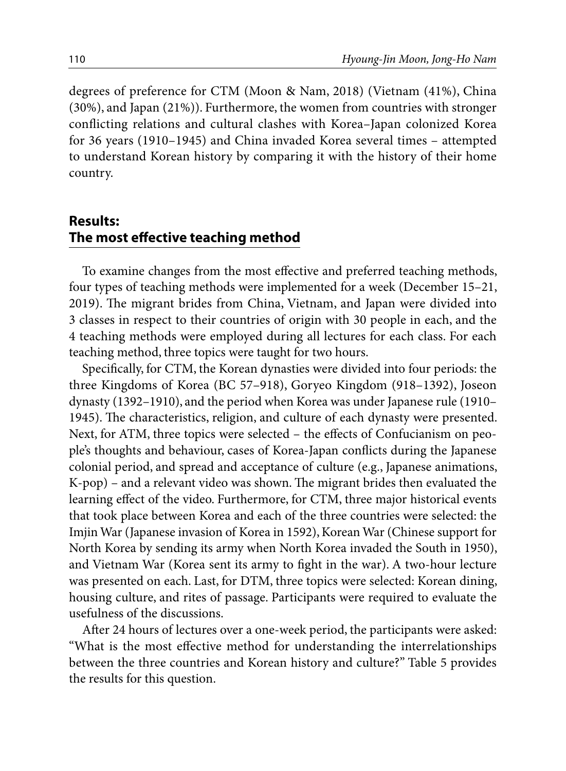degrees of preference for CTM (Moon & Nam, 2018) (Vietnam (41%), China (30%), and Japan (21%)). Furthermore, the women from countries with stronger conflicting relations and cultural clashes with Korea–Japan colonized Korea for 36 years (1910–1945) and China invaded Korea several times – attempted to understand Korean history by comparing it with the history of their home country.

# **Results: The most effective teaching method**

To examine changes from the most effective and preferred teaching methods, four types of teaching methods were implemented for a week (December 15–21, 2019). The migrant brides from China, Vietnam, and Japan were divided into 3 classes in respect to their countries of origin with 30 people in each, and the 4 teaching methods were employed during all lectures for each class. For each teaching method, three topics were taught for two hours.

Specifically, for CTM, the Korean dynasties were divided into four periods: the three Kingdoms of Korea (BC 57–918), Goryeo Kingdom (918–1392), Joseon dynasty (1392–1910), and the period when Korea was under Japanese rule (1910– 1945). The characteristics, religion, and culture of each dynasty were presented. Next, for ATM, three topics were selected – the effects of Confucianism on people's thoughts and behaviour, cases of Korea-Japan conflicts during the Japanese colonial period, and spread and acceptance of culture (e.g., Japanese animations, K-pop) – and a relevant video was shown. The migrant brides then evaluated the learning effect of the video. Furthermore, for CTM, three major historical events that took place between Korea and each of the three countries were selected: the Imjin War (Japanese invasion of Korea in 1592), Korean War (Chinese support for North Korea by sending its army when North Korea invaded the South in 1950), and Vietnam War (Korea sent its army to fight in the war). A two-hour lecture was presented on each. Last, for DTM, three topics were selected: Korean dining, housing culture, and rites of passage. Participants were required to evaluate the usefulness of the discussions.

After 24 hours of lectures over a one-week period, the participants were asked: "What is the most effective method for understanding the interrelationships between the three countries and Korean history and culture?" Table 5 provides the results for this question.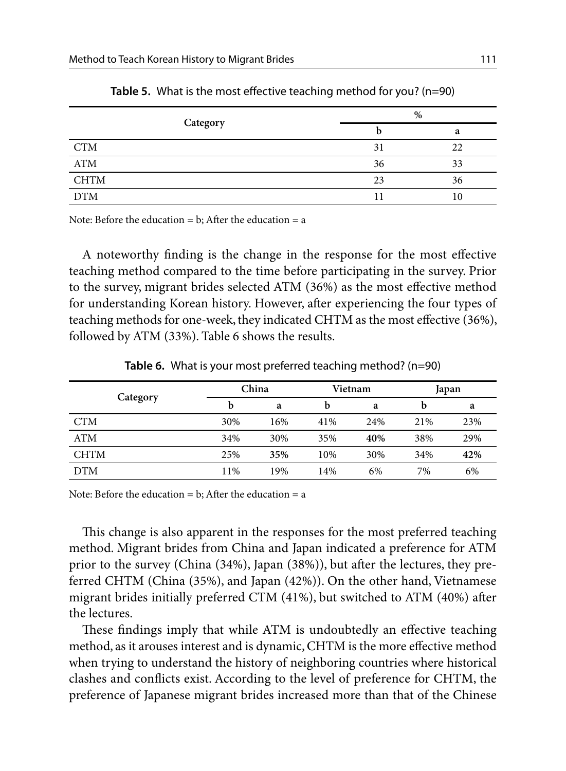|             | %  |    |  |
|-------------|----|----|--|
| Category    |    | a  |  |
| <b>CTM</b>  | 31 | 22 |  |
| <b>ATM</b>  | 36 | 33 |  |
| <b>CHTM</b> | 23 | 36 |  |
| <b>DTM</b>  | 11 | 10 |  |

**Table 5.** What is the most effective teaching method for you? (n=90)

Note: Before the education  $= b$ : After the education  $= a$ 

A noteworthy finding is the change in the response for the most effective teaching method compared to the time before participating in the survey. Prior to the survey, migrant brides selected ATM (36%) as the most effective method for understanding Korean history. However, after experiencing the four types of teaching methods for one-week, they indicated CHTM as the most effective (36%), followed by ATM (33%). Table 6 shows the results.

|             |     | China |     | Vietnam |     | Japan |  |
|-------------|-----|-------|-----|---------|-----|-------|--|
| Category    | b   | a     | b   | a       | b   | a     |  |
| <b>CTM</b>  | 30% | 16%   | 41% | 24%     | 21% | 23%   |  |
| <b>ATM</b>  | 34% | 30%   | 35% | 40%     | 38% | 29%   |  |
| <b>CHTM</b> | 25% | 35%   | 10% | 30%     | 34% | 42%   |  |
| <b>DTM</b>  | 11% | 19%   | 14% | 6%      | 7%  | 6%    |  |

**Table 6.** What is your most preferred teaching method? (n=90)

Note: Before the education  $= b$ : After the education  $= a$ 

This change is also apparent in the responses for the most preferred teaching method. Migrant brides from China and Japan indicated a preference for ATM prior to the survey (China (34%), Japan (38%)), but after the lectures, they preferred CHTM (China (35%), and Japan (42%)). On the other hand, Vietnamese migrant brides initially preferred CTM (41%), but switched to ATM (40%) after the lectures.

These findings imply that while ATM is undoubtedly an effective teaching method, as it arouses interest and is dynamic, CHTM is the more effective method when trying to understand the history of neighboring countries where historical clashes and conflicts exist. According to the level of preference for CHTM, the preference of Japanese migrant brides increased more than that of the Chinese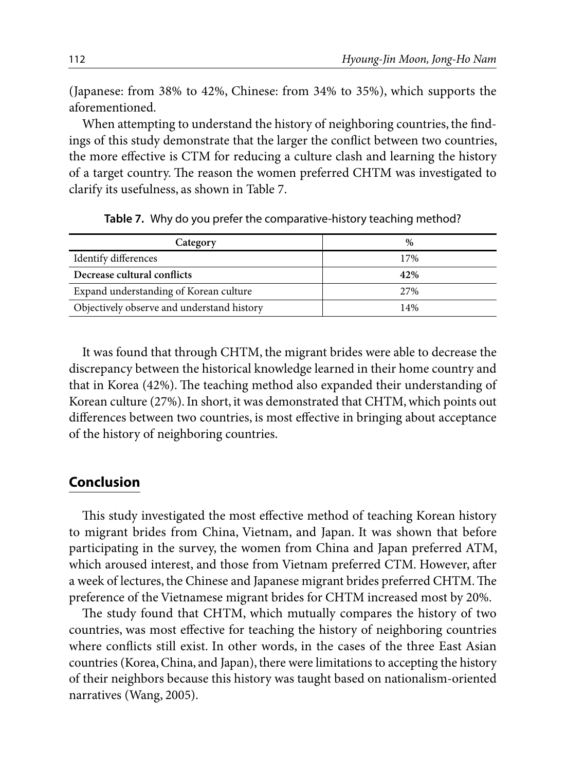(Japanese: from 38% to 42%, Chinese: from 34% to 35%), which supports the aforementioned.

When attempting to understand the history of neighboring countries, the findings of this study demonstrate that the larger the conflict between two countries, the more effective is CTM for reducing a culture clash and learning the history of a target country. The reason the women preferred CHTM was investigated to clarify its usefulness, as shown in Table 7.

| Category                                   | $\%$ |
|--------------------------------------------|------|
| Identify differences                       | 17%  |
| Decrease cultural conflicts                | 42%  |
| Expand understanding of Korean culture     | 27%  |
| Objectively observe and understand history | 14%  |

**Table 7.** Why do you prefer the comparative-history teaching method?

It was found that through CHTM, the migrant brides were able to decrease the discrepancy between the historical knowledge learned in their home country and that in Korea (42%). The teaching method also expanded their understanding of Korean culture (27%). In short, it was demonstrated that CHTM, which points out differences between two countries, is most effective in bringing about acceptance of the history of neighboring countries.

## **Conclusion**

This study investigated the most effective method of teaching Korean history to migrant brides from China, Vietnam, and Japan. It was shown that before participating in the survey, the women from China and Japan preferred ATM, which aroused interest, and those from Vietnam preferred CTM. However, after a week of lectures, the Chinese and Japanese migrant brides preferred CHTM. The preference of the Vietnamese migrant brides for CHTM increased most by 20%.

The study found that CHTM, which mutually compares the history of two countries, was most effective for teaching the history of neighboring countries where conflicts still exist. In other words, in the cases of the three East Asian countries (Korea, China, and Japan), there were limitations to accepting the history of their neighbors because this history was taught based on nationalism-oriented narratives (Wang, 2005).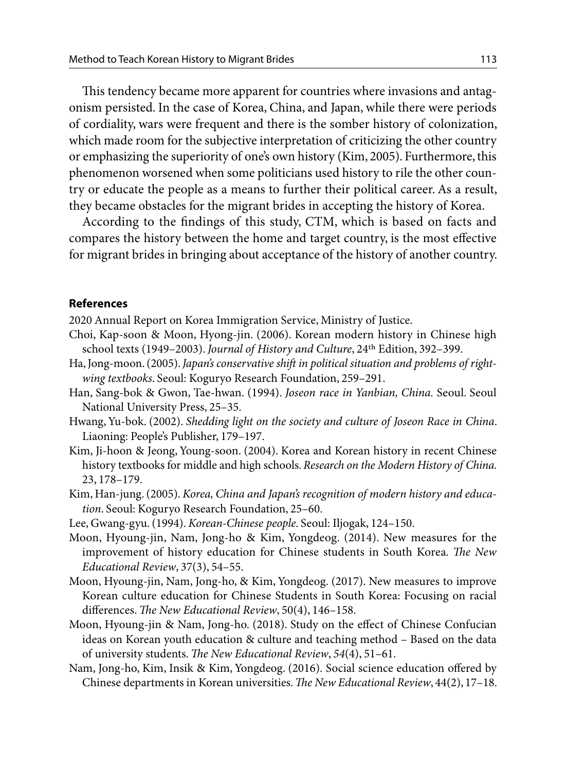This tendency became more apparent for countries where invasions and antagonism persisted. In the case of Korea, China, and Japan, while there were periods of cordiality, wars were frequent and there is the somber history of colonization, which made room for the subjective interpretation of criticizing the other country or emphasizing the superiority of one's own history (Kim, 2005). Furthermore, this phenomenon worsened when some politicians used history to rile the other country or educate the people as a means to further their political career. As a result, they became obstacles for the migrant brides in accepting the history of Korea.

According to the findings of this study, CTM, which is based on facts and compares the history between the home and target country, is the most effective for migrant brides in bringing about acceptance of the history of another country.

#### **References**

2020 Annual Report on Korea Immigration Service, Ministry of Justice.

- Choi, Kap-soon & Moon, Hyong-jin. (2006). Korean modern history in Chinese high school texts (1949–2003). *Journal of History and Culture*, 24th Edition, 392–399.
- Ha, Jong-moon. (2005). *Japan's conservative shift in political situation and problems of rightwing textbooks*. Seoul: Koguryo Research Foundation, 259–291.
- Han, Sang-bok & Gwon, Tae-hwan. (1994). *Joseon race in Yanbian, China.* Seoul. Seoul National University Press, 25–35.
- Hwang, Yu-bok. (2002). *Shedding light on the society and culture of Joseon Race in China*. Liaoning: People's Publisher, 179–197.
- Kim, Ji-hoon & Jeong, Young-soon. (2004). Korea and Korean history in recent Chinese history textbooks for middle and high schools. *Research on the Modern History of China.*  23, 178–179.
- Kim, Han-jung. (2005). *Korea, China and Japan's recognition of modern history and education*. Seoul: Koguryo Research Foundation, 25–60.
- Lee, Gwang-gyu. (1994). *Korean-Chinese people*. Seoul: Iljogak, 124–150.
- Moon, Hyoung-jin, Nam, Jong-ho & Kim, Yongdeog. (2014). New measures for the improvement of history education for Chinese students in South Korea*. The New Educational Review*, 37(3), 54–55.
- Moon, Hyoung-jin, Nam, Jong-ho, & Kim, Yongdeog. (2017). New measures to improve Korean culture education for Chinese Students in South Korea: Focusing on racial differences. *The New Educational Review*, 50(4), 146–158.
- Moon, Hyoung-jin & Nam, Jong-ho. (2018). Study on the effect of Chinese Confucian ideas on Korean youth education & culture and teaching method – Based on the data of university students. *The New Educational Review*, *54*(4), 51–61.
- Nam, Jong-ho, Kim, Insik & Kim, Yongdeog. (2016). Social science education offered by Chinese departments in Korean universities. *The New Educational Review*, 44(2), 17–18.